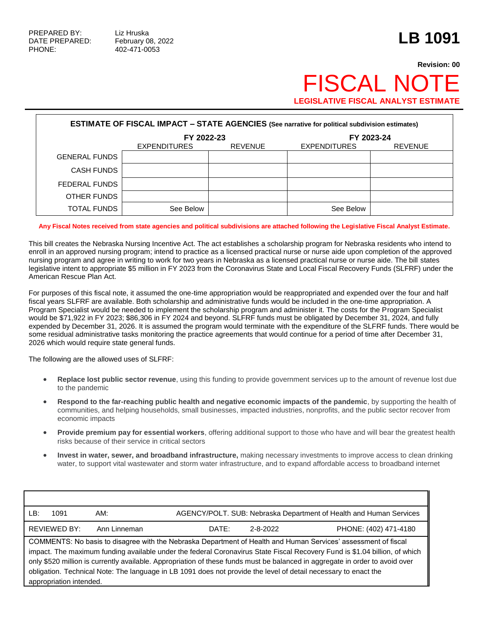## **Revision: 00** FISCAL NO **LEGISLATIVE FISCAL ANALYST ESTIMATE**

| <b>ESTIMATE OF FISCAL IMPACT - STATE AGENCIES (See narrative for political subdivision estimates)</b> |                     |                |                     |                |
|-------------------------------------------------------------------------------------------------------|---------------------|----------------|---------------------|----------------|
|                                                                                                       | FY 2022-23          |                | FY 2023-24          |                |
|                                                                                                       | <b>EXPENDITURES</b> | <b>REVENUE</b> | <b>EXPENDITURES</b> | <b>REVENUE</b> |
| <b>GENERAL FUNDS</b>                                                                                  |                     |                |                     |                |
| <b>CASH FUNDS</b>                                                                                     |                     |                |                     |                |
| FEDERAL FUNDS                                                                                         |                     |                |                     |                |
| OTHER FUNDS                                                                                           |                     |                |                     |                |
| TOTAL FUNDS                                                                                           | See Below           |                | See Below           |                |

## **Any Fiscal Notes received from state agencies and political subdivisions are attached following the Legislative Fiscal Analyst Estimate.**

This bill creates the Nebraska Nursing Incentive Act. The act establishes a scholarship program for Nebraska residents who intend to enroll in an approved nursing program; intend to practice as a licensed practical nurse or nurse aide upon completion of the approved nursing program and agree in writing to work for two years in Nebraska as a licensed practical nurse or nurse aide. The bill states legislative intent to appropriate \$5 million in FY 2023 from the Coronavirus State and Local Fiscal Recovery Funds (SLFRF) under the American Rescue Plan Act.

For purposes of this fiscal note, it assumed the one-time appropriation would be reappropriated and expended over the four and half fiscal years SLFRF are available. Both scholarship and administrative funds would be included in the one-time appropriation. A Program Specialist would be needed to implement the scholarship program and administer it. The costs for the Program Specialist would be \$71,922 in FY 2023; \$86,306 in FY 2024 and beyond. SLFRF funds must be obligated by December 31, 2024, and fully expended by December 31, 2026. It is assumed the program would terminate with the expenditure of the SLFRF funds. There would be some residual administrative tasks monitoring the practice agreements that would continue for a period of time after December 31, 2026 which would require state general funds.

The following are the allowed uses of SLFRF:

- **Replace lost public sector revenue**, using this funding to provide government services up to the amount of revenue lost due to the pandemic
- **Respond to the far-reaching public health and negative economic impacts of the pandemic**, by supporting the health of communities, and helping households, small businesses, impacted industries, nonprofits, and the public sector recover from economic impacts
- **Provide premium pay for essential workers**, offering additional support to those who have and will bear the greatest health risks because of their service in critical sectors
- **Invest in water, sewer, and broadband infrastructure,** making necessary investments to improve access to clean drinking water, to support vital wastewater and storm water infrastructure, and to expand affordable access to broadband internet

| LB:                                                                                                                          | 1091                | AM:          |       |                | AGENCY/POLT. SUB: Nebraska Department of Health and Human Services |
|------------------------------------------------------------------------------------------------------------------------------|---------------------|--------------|-------|----------------|--------------------------------------------------------------------|
|                                                                                                                              | <b>REVIEWED BY:</b> | Ann Linneman | DATE: | $2 - 8 - 2022$ | PHONE: (402) 471-4180                                              |
| COMMENTS: No basis to disagree with the Nebraska Department of Health and Human Services' assessment of fiscal               |                     |              |       |                |                                                                    |
| impact. The maximum funding available under the federal Coronavirus State Fiscal Recovery Fund is \$1.04 billion, of which   |                     |              |       |                |                                                                    |
| only \$520 million is currently available. Appropriation of these funds must be balanced in aggregate in order to avoid over |                     |              |       |                |                                                                    |
| obligation. Technical Note: The language in LB 1091 does not provide the level of detail necessary to enact the              |                     |              |       |                |                                                                    |
| appropriation intended.                                                                                                      |                     |              |       |                |                                                                    |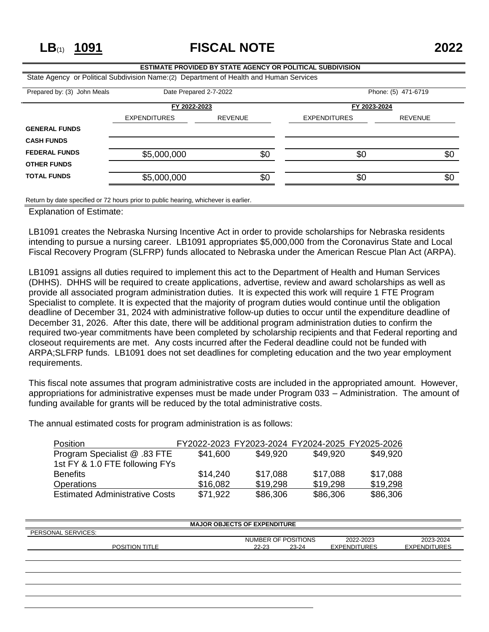**LB**(1) **1091 FISCAL NOTE 2022**

## **ESTIMATE PROVIDED BY STATE AGENCY OR POLITICAL SUBDIVISION** State Agency or Political Subdivision Name:(2) Department of Health and Human Services Prepared by: (3) John Meals Date Prepared 2-7-2022 Phone: (5) 471-6719 **FY 2022-2023 FY 2023-2024** EXPENDITURES REVENUE EXPENDITURES REVENUE **GENERAL FUNDS CASH FUNDS FEDERAL FUNDS** \$5,000,000 \$0 \$0 \$0 \$0 \$0 \$0 **OTHER FUNDS TOTAL FUNDS** \$5,000,000 \$0 \$0 \$0 \$0 \$0 \$0

Return by date specified or 72 hours prior to public hearing, whichever is earlier.

Explanation of Estimate:

LB1091 creates the Nebraska Nursing Incentive Act in order to provide scholarships for Nebraska residents intending to pursue a nursing career. LB1091 appropriates \$5,000,000 from the Coronavirus State and Local Fiscal Recovery Program (SLFRP) funds allocated to Nebraska under the American Rescue Plan Act (ARPA).

LB1091 assigns all duties required to implement this act to the Department of Health and Human Services (DHHS). DHHS will be required to create applications, advertise, review and award scholarships as well as provide all associated program administration duties. It is expected this work will require 1 FTE Program Specialist to complete. It is expected that the majority of program duties would continue until the obligation deadline of December 31, 2024 with administrative follow-up duties to occur until the expenditure deadline of December 31, 2026. After this date, there will be additional program administration duties to confirm the required two-year commitments have been completed by scholarship recipients and that Federal reporting and closeout requirements are met. Any costs incurred after the Federal deadline could not be funded with ARPA;SLFRP funds. LB1091 does not set deadlines for completing education and the two year employment requirements.

This fiscal note assumes that program administrative costs are included in the appropriated amount. However, appropriations for administrative expenses must be made under Program 033 – Administration. The amount of funding available for grants will be reduced by the total administrative costs.

The annual estimated costs for program administration is as follows:

| <b>Position</b>                       |          | FY2022-2023 FY2023-2024 FY2024-2025 FY2025-2026 |          |          |
|---------------------------------------|----------|-------------------------------------------------|----------|----------|
| Program Specialist @ .83 FTE          | \$41,600 | \$49,920                                        | \$49,920 | \$49,920 |
| 1st FY & 1.0 FTE following FYs        |          |                                                 |          |          |
| <b>Benefits</b>                       | \$14,240 | \$17,088                                        | \$17,088 | \$17,088 |
| <b>Operations</b>                     | \$16,082 | \$19,298                                        | \$19.298 | \$19,298 |
| <b>Estimated Administrative Costs</b> | \$71,922 | \$86,306                                        | \$86,306 | \$86,306 |

| <b>MAJOR OBJECTS OF EXPENDITURE</b> |  |  |  |  |
|-------------------------------------|--|--|--|--|
|                                     |  |  |  |  |
| 2023-2024                           |  |  |  |  |
| <b>EXPENDITURES</b>                 |  |  |  |  |
|                                     |  |  |  |  |
|                                     |  |  |  |  |
|                                     |  |  |  |  |
|                                     |  |  |  |  |
|                                     |  |  |  |  |
|                                     |  |  |  |  |